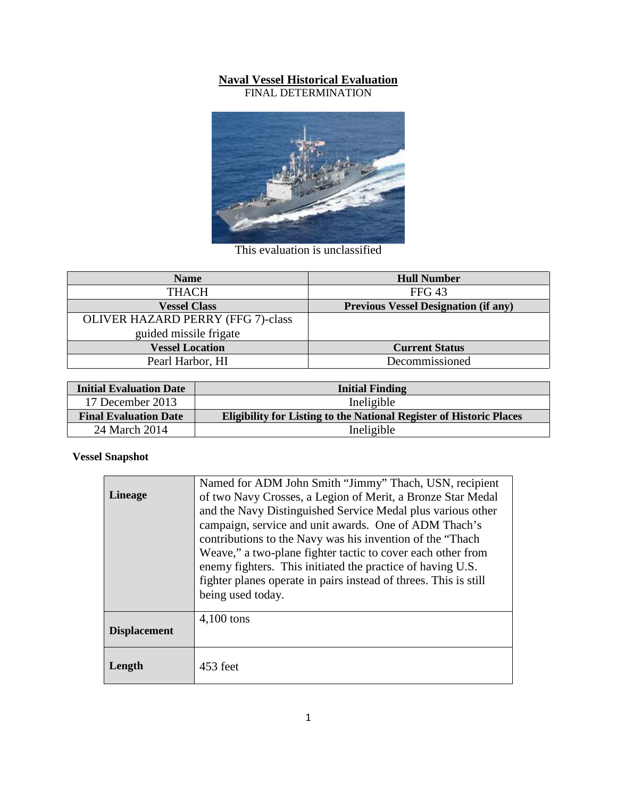## **Naval Vessel Historical Evaluation**

FINAL DETERMINATION



This evaluation is unclassified

| <b>Name</b>                              | <b>Hull Number</b>                          |
|------------------------------------------|---------------------------------------------|
| <b>THACH</b>                             | FFG <sub>43</sub>                           |
| <b>Vessel Class</b>                      | <b>Previous Vessel Designation (if any)</b> |
| <b>OLIVER HAZARD PERRY (FFG 7)-class</b> |                                             |
| guided missile frigate                   |                                             |
| <b>Vessel Location</b>                   | <b>Current Status</b>                       |
| Pearl Harbor, HI                         | Decommissioned                              |

| <b>Initial Evaluation Date</b> | <b>Initial Finding</b>                                                     |  |
|--------------------------------|----------------------------------------------------------------------------|--|
| 17 December 2013               | Ineligible                                                                 |  |
| <b>Final Evaluation Date</b>   | <b>Eligibility for Listing to the National Register of Historic Places</b> |  |
| 24 March 2014                  | Ineligible                                                                 |  |

## **Vessel Snapshot**

| <b>Lineage</b>      | Named for ADM John Smith "Jimmy" Thach, USN, recipient<br>of two Navy Crosses, a Legion of Merit, a Bronze Star Medal<br>and the Navy Distinguished Service Medal plus various other<br>campaign, service and unit awards. One of ADM Thach's<br>contributions to the Navy was his invention of the "Thach"<br>Weave," a two-plane fighter tactic to cover each other from<br>enemy fighters. This initiated the practice of having U.S. |  |
|---------------------|------------------------------------------------------------------------------------------------------------------------------------------------------------------------------------------------------------------------------------------------------------------------------------------------------------------------------------------------------------------------------------------------------------------------------------------|--|
|                     | fighter planes operate in pairs instead of threes. This is still<br>being used today.                                                                                                                                                                                                                                                                                                                                                    |  |
| <b>Displacement</b> | 4,100 tons                                                                                                                                                                                                                                                                                                                                                                                                                               |  |
| Length              | 453 feet                                                                                                                                                                                                                                                                                                                                                                                                                                 |  |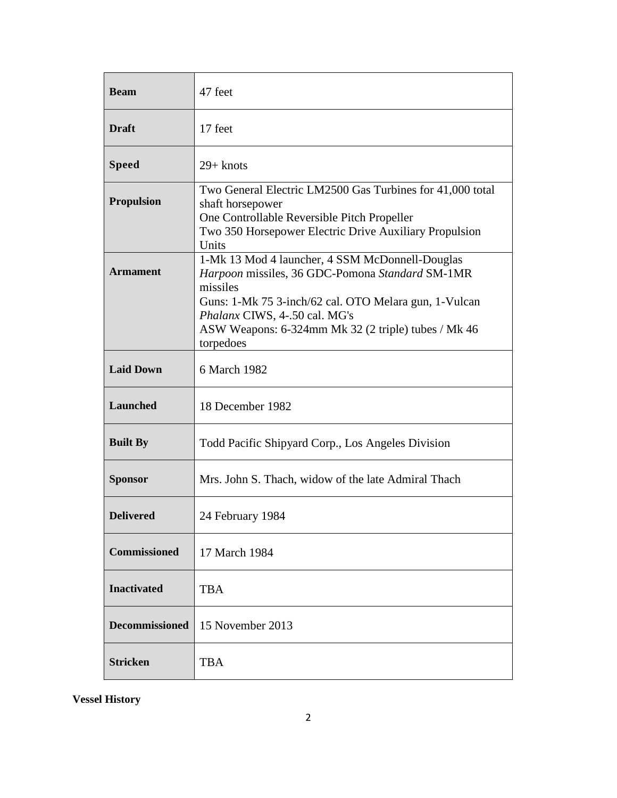| <b>Beam</b>           | 47 feet                                                                                                                                                                                                                                                                      |
|-----------------------|------------------------------------------------------------------------------------------------------------------------------------------------------------------------------------------------------------------------------------------------------------------------------|
| <b>Draft</b>          | 17 feet                                                                                                                                                                                                                                                                      |
| <b>Speed</b>          | $29 +$ knots                                                                                                                                                                                                                                                                 |
| <b>Propulsion</b>     | Two General Electric LM2500 Gas Turbines for 41,000 total<br>shaft horsepower<br>One Controllable Reversible Pitch Propeller<br>Two 350 Horsepower Electric Drive Auxiliary Propulsion<br>Units                                                                              |
| <b>Armament</b>       | 1-Mk 13 Mod 4 launcher, 4 SSM McDonnell-Douglas<br>Harpoon missiles, 36 GDC-Pomona Standard SM-1MR<br>missiles<br>Guns: 1-Mk 75 3-inch/62 cal. OTO Melara gun, 1-Vulcan<br>Phalanx CIWS, 4-.50 cal. MG's<br>ASW Weapons: 6-324mm Mk 32 (2 triple) tubes / Mk 46<br>torpedoes |
| <b>Laid Down</b>      | 6 March 1982                                                                                                                                                                                                                                                                 |
| <b>Launched</b>       | 18 December 1982                                                                                                                                                                                                                                                             |
| <b>Built By</b>       | Todd Pacific Shipyard Corp., Los Angeles Division                                                                                                                                                                                                                            |
| <b>Sponsor</b>        | Mrs. John S. Thach, widow of the late Admiral Thach                                                                                                                                                                                                                          |
| <b>Delivered</b>      | 24 February 1984                                                                                                                                                                                                                                                             |
| <b>Commissioned</b>   | 17 March 1984                                                                                                                                                                                                                                                                |
| <b>Inactivated</b>    | <b>TBA</b>                                                                                                                                                                                                                                                                   |
| <b>Decommissioned</b> | 15 November 2013                                                                                                                                                                                                                                                             |
| <b>Stricken</b>       | <b>TBA</b>                                                                                                                                                                                                                                                                   |

**Vessel History**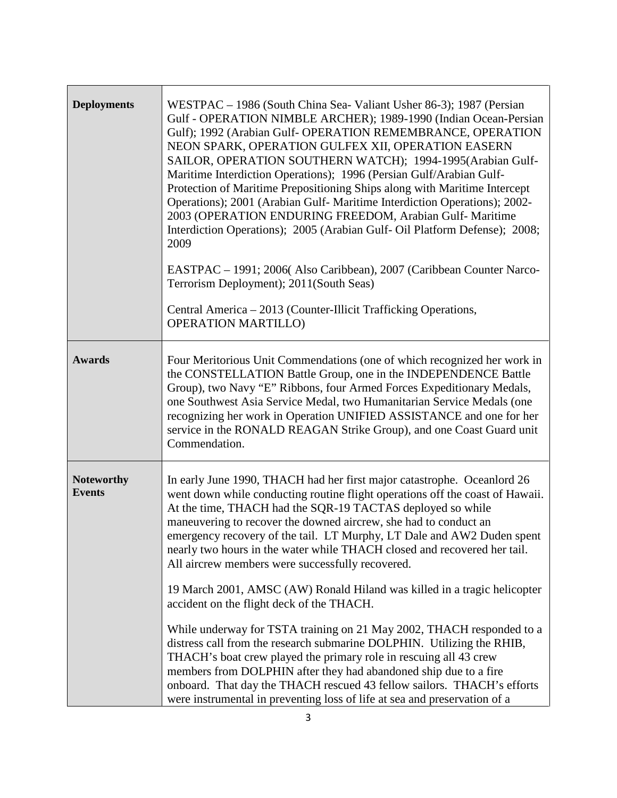| <b>Deployments</b>                 | WESTPAC – 1986 (South China Sea- Valiant Usher 86-3); 1987 (Persian<br>Gulf - OPERATION NIMBLE ARCHER); 1989-1990 (Indian Ocean-Persian<br>Gulf); 1992 (Arabian Gulf- OPERATION REMEMBRANCE, OPERATION<br>NEON SPARK, OPERATION GULFEX XII, OPERATION EASERN<br>SAILOR, OPERATION SOUTHERN WATCH); 1994-1995(Arabian Gulf-<br>Maritime Interdiction Operations); 1996 (Persian Gulf/Arabian Gulf-<br>Protection of Maritime Prepositioning Ships along with Maritime Intercept<br>Operations); 2001 (Arabian Gulf- Maritime Interdiction Operations); 2002-<br>2003 (OPERATION ENDURING FREEDOM, Arabian Gulf-Maritime<br>Interdiction Operations); 2005 (Arabian Gulf- Oil Platform Defense); 2008;<br>2009<br>EASTPAC - 1991; 2006(Also Caribbean), 2007 (Caribbean Counter Narco-<br>Terrorism Deployment); 2011(South Seas)<br>Central America - 2013 (Counter-Illicit Trafficking Operations,<br><b>OPERATION MARTILLO)</b> |
|------------------------------------|----------------------------------------------------------------------------------------------------------------------------------------------------------------------------------------------------------------------------------------------------------------------------------------------------------------------------------------------------------------------------------------------------------------------------------------------------------------------------------------------------------------------------------------------------------------------------------------------------------------------------------------------------------------------------------------------------------------------------------------------------------------------------------------------------------------------------------------------------------------------------------------------------------------------------------|
| <b>Awards</b>                      | Four Meritorious Unit Commendations (one of which recognized her work in<br>the CONSTELLATION Battle Group, one in the INDEPENDENCE Battle<br>Group), two Navy "E" Ribbons, four Armed Forces Expeditionary Medals,<br>one Southwest Asia Service Medal, two Humanitarian Service Medals (one<br>recognizing her work in Operation UNIFIED ASSISTANCE and one for her<br>service in the RONALD REAGAN Strike Group), and one Coast Guard unit<br>Commendation.                                                                                                                                                                                                                                                                                                                                                                                                                                                                   |
| <b>Noteworthy</b><br><b>Events</b> | In early June 1990, THACH had her first major catastrophe. Oceanlord 26<br>went down while conducting routine flight operations off the coast of Hawaii.<br>At the time, THACH had the SQR-19 TACTAS deployed so while<br>maneuvering to recover the downed aircrew, she had to conduct an<br>emergency recovery of the tail. LT Murphy, LT Dale and AW2 Duden spent<br>nearly two hours in the water while THACH closed and recovered her tail.<br>All aircrew members were successfully recovered.<br>19 March 2001, AMSC (AW) Ronald Hiland was killed in a tragic helicopter<br>accident on the flight deck of the THACH.<br>While underway for TSTA training on 21 May 2002, THACH responded to a                                                                                                                                                                                                                           |
|                                    | distress call from the research submarine DOLPHIN. Utilizing the RHIB,<br>THACH's boat crew played the primary role in rescuing all 43 crew<br>members from DOLPHIN after they had abandoned ship due to a fire<br>onboard. That day the THACH rescued 43 fellow sailors. THACH's efforts<br>were instrumental in preventing loss of life at sea and preservation of a                                                                                                                                                                                                                                                                                                                                                                                                                                                                                                                                                           |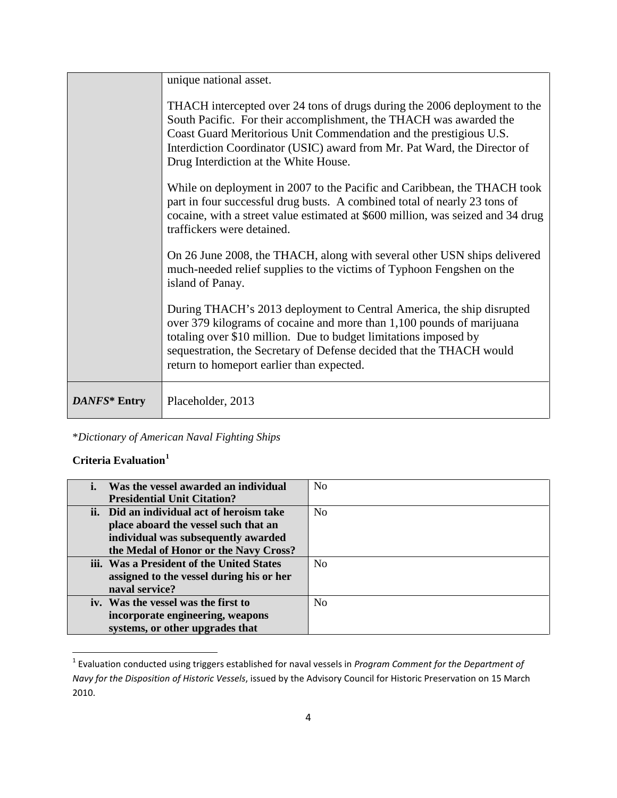|              | unique national asset.                                                                                                                                                                                                                                                                                                                     |
|--------------|--------------------------------------------------------------------------------------------------------------------------------------------------------------------------------------------------------------------------------------------------------------------------------------------------------------------------------------------|
|              | THACH intercepted over 24 tons of drugs during the 2006 deployment to the<br>South Pacific. For their accomplishment, the THACH was awarded the<br>Coast Guard Meritorious Unit Commendation and the prestigious U.S.<br>Interdiction Coordinator (USIC) award from Mr. Pat Ward, the Director of<br>Drug Interdiction at the White House. |
|              | While on deployment in 2007 to the Pacific and Caribbean, the THACH took<br>part in four successful drug busts. A combined total of nearly 23 tons of<br>cocaine, with a street value estimated at \$600 million, was seized and 34 drug<br>traffickers were detained.                                                                     |
|              | On 26 June 2008, the THACH, along with several other USN ships delivered<br>much-needed relief supplies to the victims of Typhoon Fengshen on the<br>island of Panay.                                                                                                                                                                      |
|              | During THACH's 2013 deployment to Central America, the ship disrupted<br>over 379 kilograms of cocaine and more than 1,100 pounds of marijuana<br>totaling over \$10 million. Due to budget limitations imposed by<br>sequestration, the Secretary of Defense decided that the THACH would<br>return to homeport earlier than expected.    |
| DANFS* Entry | Placeholder, 2013                                                                                                                                                                                                                                                                                                                          |

\**Dictionary of American Naval Fighting Ships*

## **Criteria Evaluation[1](#page-3-0)**

| Was the vessel awarded an individual      | N <sub>0</sub> |
|-------------------------------------------|----------------|
| <b>Presidential Unit Citation?</b>        |                |
| ii. Did an individual act of heroism take | N <sub>0</sub> |
| place aboard the vessel such that an      |                |
| individual was subsequently awarded       |                |
| the Medal of Honor or the Navy Cross?     |                |
| iii. Was a President of the United States | No             |
| assigned to the vessel during his or her  |                |
| naval service?                            |                |
| iv. Was the vessel was the first to       | N <sub>0</sub> |
| incorporate engineering, weapons          |                |
| systems, or other upgrades that           |                |

<span id="page-3-0"></span> <sup>1</sup> Evaluation conducted using triggers established for naval vessels in *Program Comment for the Department of Navy for the Disposition of Historic Vessels*, issued by the Advisory Council for Historic Preservation on 15 March 2010.